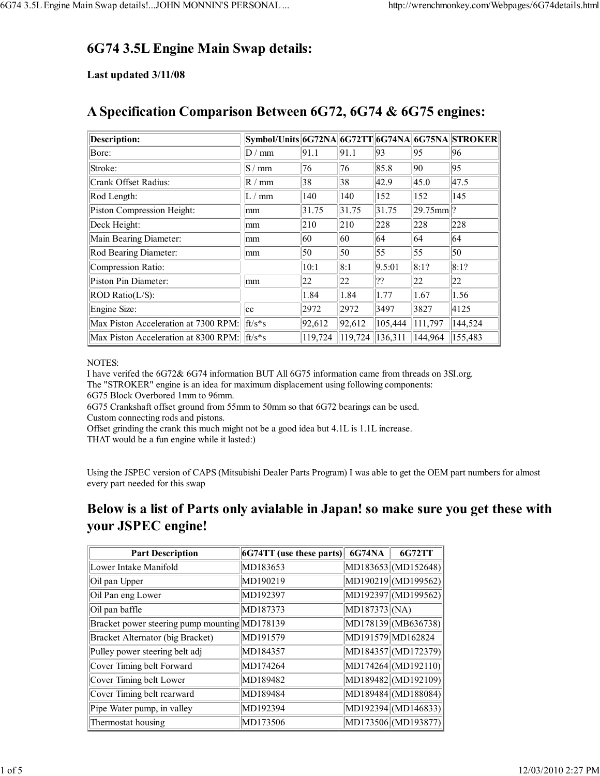## **6G74 3.5L Engine Main Swap details:**

#### **Last updated 3/11/08**

| <b>Description:</b>                  | Symbol/Units 6G72NA 6G72TT 6G74NA 6G75NA STROKER |         |         |         |                  |         |
|--------------------------------------|--------------------------------------------------|---------|---------|---------|------------------|---------|
| Bore:                                | D/mm                                             | 91.1    | 91.1    | 93      | 95               | 196     |
| Stroke:                              | S/mm                                             | 76      | 76      | 85.8    | 90               | 95      |
| Crank Offset Radius:                 | R/mm                                             | 38      | 38      | 42.9    | 45.0             | 47.5    |
| Rod Length:                          | L / mm                                           | 140     | 140     | 152     | 152              | 145     |
| Piston Compression Height:           | mm                                               | 31.75   | 31.75   | 31.75   | $ 29.75$ mm $ ?$ |         |
| Deck Height:                         | mm                                               | 210     | 210     | 228     | 228              | 228     |
| Main Bearing Diameter:               | mm                                               | 60      | 60      | 64      | 64               | 64      |
| Rod Bearing Diameter:                | mm                                               | 50      | 50      | 55      | 55               | 50      |
| Compression Ratio:                   |                                                  | 10:1    | 8:1     | 9.5:01  | 8:1?             | 8:1?    |
| Piston Pin Diameter:                 | mm                                               | 22      | 22      | ??      | 22               | 22      |
| ROD Ratio(L/S):                      |                                                  | 1.84    | 1.84    | 1.77    | 1.67             | 1.56    |
| Engine Size:                         | cc                                               | 2972    | 2972    | 3497    | 3827             | 4125    |
| Max Piston Acceleration at 7300 RPM. | $ft/s*_{S}$                                      | 92,612  | 92,612  | 105,444 | 111,797          | 144,524 |
| Max Piston Acceleration at 8300 RPM. | $ft/s*s$                                         | 119,724 | 119,724 | 136,311 | 144,964          | 155,483 |

## **A Specification Comparison Between 6G72, 6G74 & 6G75 engines:**

#### NOTES:

I have verifed the 6G72& 6G74 information BUT All 6G75 information came from threads on 3SI.org.

The "STROKER" engine is an idea for maximum displacement using following components: 6G75 Block Overbored 1mm to 96mm.

6G75 Crankshaft offset ground from 55mm to 50mm so that 6G72 bearings can be used. Custom connecting rods and pistons.

Offset grinding the crank this much might not be a good idea but 4.1L is 1.1L increase.

THAT would be a fun engine while it lasted:)

Using the JSPEC version of CAPS (Mitsubishi Dealer Parts Program) I was able to get the OEM part numbers for almost every part needed for this swap

#### **Below is a list of Parts only avialable in Japan! so make sure you get these with your JSPEC engine!**

| <b>Part Description</b>                       | $ 6G74TT $ (use these parts) | <b>6G74NA</b>   | 6G72TT              |
|-----------------------------------------------|------------------------------|-----------------|---------------------|
| Lower Intake Manifold                         | MD183653                     |                 | MD183653 (MD152648) |
| Oil pan Upper                                 | MD190219                     |                 | MD190219 (MD199562) |
| Oil Pan eng Lower                             | MD192397                     |                 | MD192397 (MD199562) |
| Oil pan baffle                                | MD187373                     | MD187373   (NA) |                     |
| Bracket power steering pump mounting MD178139 |                              |                 | MD178139 (MB636738) |
| Bracket Alternator (big Bracket)              | MD191579                     |                 | MD191579 MD162824   |
| Pulley power steering belt adj                | MD184357                     |                 | MD184357 (MD172379) |
| Cover Timing belt Forward                     | MD174264                     |                 | MD174264 (MD192110) |
| Cover Timing belt Lower                       | MD189482                     |                 | MD189482 (MD192109) |
| Cover Timing belt rearward                    | MD189484                     |                 | MD189484 (MD188084) |
| Pipe Water pump, in valley                    | MD192394                     |                 | MD192394 (MD146833) |
| Thermostat housing                            | MD173506                     |                 | MD173506 (MD193877) |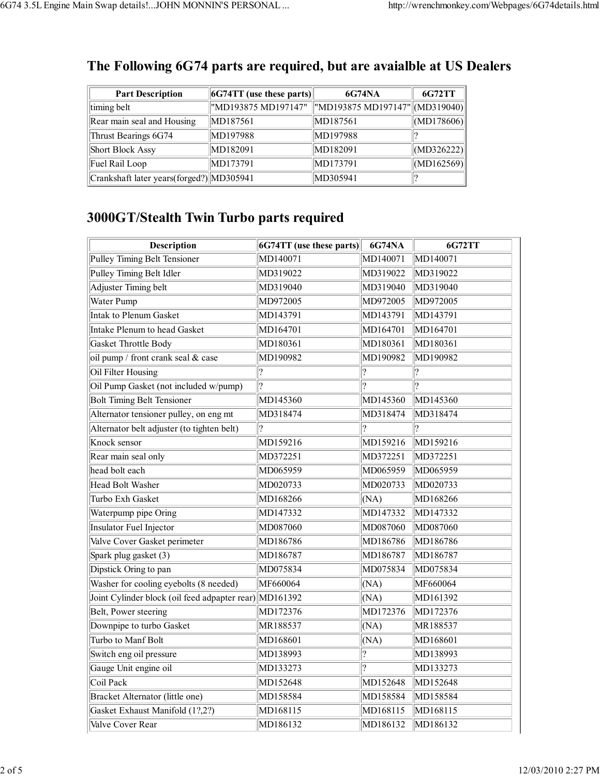| <b>Part Description</b>                  | $\ $ 6G74TT (use these parts) $\ $ | <b>6G74NA</b>                   | 6G72TT     |
|------------------------------------------|------------------------------------|---------------------------------|------------|
| timing belt                              | "MD193875 MD197147"                | "MD193875 MD197147"  (MD319040) |            |
| Rear main seal and Housing               | MD187561                           | MD187561                        | (MD178606) |
| Thrust Bearings 6G74                     | MD197988                           | MD197988                        |            |
| <b>Short Block Assy</b>                  | MD182091                           | MD182091                        | (MD326222) |
| Fuel Rail Loop                           | MD173791                           | MD173791                        | (MD162569) |
| Crankshaft later years(forged?) MD305941 |                                    | MD305941                        |            |

#### **The Following 6G74 parts are required, but are avaialble at US Dealers**

# **3000GT/Stealth Twin Turbo parts required**

| Description                                            | 6G74TT (use these parts) | <b>6G74NA</b> | <b>6G72TT</b>            |
|--------------------------------------------------------|--------------------------|---------------|--------------------------|
| Pulley Timing Belt Tensioner                           | MD140071                 | MD140071      | MD140071                 |
| Pulley Timing Belt Idler                               | MD319022                 | MD319022      | MD319022                 |
| <b>Adjuster Timing belt</b>                            | MD319040                 | MD319040      | MD319040                 |
| Water Pump                                             | MD972005                 | MD972005      | MD972005                 |
| <b>Intak to Plenum Gasket</b>                          | MD143791                 | MD143791      | MD143791                 |
| Intake Plenum to head Gasket                           | MD164701                 | MD164701      | MD164701                 |
| Gasket Throttle Body                                   | MD180361                 | MD180361      | MD180361                 |
| oil pump / front crank seal & case                     | MD190982                 | MD190982      | MD190982                 |
| Oil Filter Housing                                     | ?                        | ?             | $\overline{\mathcal{C}}$ |
| Oil Pump Gasket (not included w/pump)                  | $\overline{?}$           | ?             | ?                        |
| <b>Bolt Timing Belt Tensioner</b>                      | MD145360                 | MD145360      | MD145360                 |
| Alternator tensioner pulley, on eng mt                 | MD318474                 | MD318474      | MD318474                 |
| Alternator belt adjuster (to tighten belt)             | $\overline{\mathcal{L}}$ | ?             |                          |
| Knock sensor                                           | MD159216                 | MD159216      | MD159216                 |
| Rear main seal only                                    | MD372251                 | MD372251      | MD372251                 |
| head bolt each                                         | MD065959                 | MD065959      | MD065959                 |
| Head Bolt Washer                                       | MD020733                 | MD020733      | MD020733                 |
| Turbo Exh Gasket                                       | MD168266                 | (NA)          | MD168266                 |
| Waterpump pipe Oring                                   | MD147332                 | MD147332      | MD147332                 |
| Insulator Fuel Injector                                | MD087060                 | MD087060      | MD087060                 |
| Valve Cover Gasket perimeter                           | MD186786                 | MD186786      | MD186786                 |
| Spark plug gasket (3)                                  | MD186787                 | MD186787      | MD186787                 |
| Dipstick Oring to pan                                  | MD075834                 | MD075834      | MD075834                 |
| Washer for cooling eyebolts (8 needed)                 | MF660064                 | (NA)          | MF660064                 |
| Joint Cylinder block (oil feed adpapter rear) MD161392 |                          | (NA)          | MD161392                 |
| Belt, Power steering                                   | MD172376                 | MD172376      | MD172376                 |
| Downpipe to turbo Gasket                               | MR188537                 | (NA)          | MR188537                 |
| Turbo to Manf Bolt                                     | MD168601                 | (NA)          | MD168601                 |
| Switch eng oil pressure                                | MD138993                 | ?             | MD138993                 |
| Gauge Unit engine oil                                  | MD133273                 | 2             | MD133273                 |
| Coil Pack                                              | MD152648                 | MD152648      | MD152648                 |
| Bracket Alternator (little one)                        | MD158584                 | MD158584      | MD158584                 |
| Gasket Exhaust Manifold (1?,2?)                        | MD168115                 | MD168115      | MD168115                 |
| Valve Cover Rear                                       | MD186132                 | MD186132      | MD186132                 |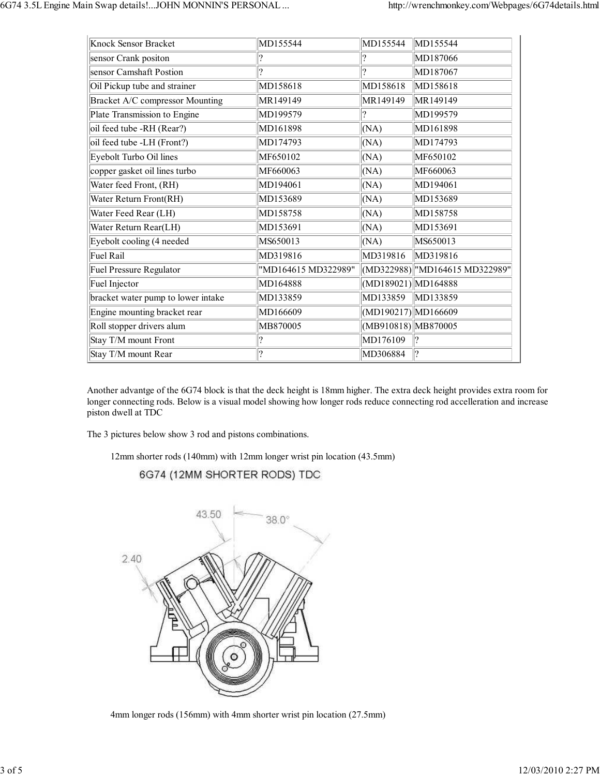| Knock Sensor Bracket               | MD155544            | MD155544            | MD155544                       |
|------------------------------------|---------------------|---------------------|--------------------------------|
| sensor Crank positon               | 19                  | ?                   | MD187066                       |
| sensor Camshaft Postion            | ?                   | ?                   | MD187067                       |
| Oil Pickup tube and strainer       | MD158618            | MD158618            | MD158618                       |
| Bracket A/C compressor Mounting    | MR149149            | MR149149            | MR149149                       |
| Plate Transmission to Engine       | MD199579            | ?                   | MD199579                       |
| oil feed tube -RH (Rear?)          | MD161898            | (NA)                | MD161898                       |
| oil feed tube -LH (Front?)         | MD174793            | (NA)                | MD174793                       |
| Eyebolt Turbo Oil lines            | MF650102            | (NA)                | MF650102                       |
| copper gasket oil lines turbo      | MF660063            | (NA)                | MF660063                       |
| Water feed Front, (RH)             | MD194061            | (NA)                | MD194061                       |
| Water Return Front(RH)             | MD153689            | (NA)                | MD153689                       |
| Water Feed Rear (LH)               | MD158758            | (NA)                | MD158758                       |
| Water Return Rear(LH)              | MD153691            | (NA)                | MD153691                       |
| Eyebolt cooling (4 needed          | MS650013            | (NA)                | MS650013                       |
| Fuel Rail                          | MD319816            | MD319816            | MD319816                       |
| <b>Fuel Pressure Regulator</b>     | "MD164615 MD322989" |                     | (MD322988) "MD164615 MD322989" |
| Fuel Injector                      | MD164888            | (MD189021) MD164888 |                                |
| bracket water pump to lower intake | MD133859            | MD133859            | MD133859                       |
| Engine mounting bracket rear       | MD166609            | (MD190217) MD166609 |                                |
| Roll stopper drivers alum          | MB870005            | (MB910818) MB870005 |                                |
| Stay T/M mount Front               | ?                   | MD176109            |                                |
| Stay T/M mount Rear                | ?                   | MD306884            |                                |

Another advantge of the 6G74 block is that the deck height is 18mm higher. The extra deck height provides extra room for longer connecting rods. Below is a visual model showing how longer rods reduce connecting rod accelleration and increase piston dwell at TDC

The 3 pictures below show 3 rod and pistons combinations.

12mm shorter rods (140mm) with 12mm longer wrist pin location (43.5mm)

6G74 (12MM SHORTER RODS) TDC



2. 4mm longer rods (156mm) with 4mm shorter wrist pin location (27.5mm)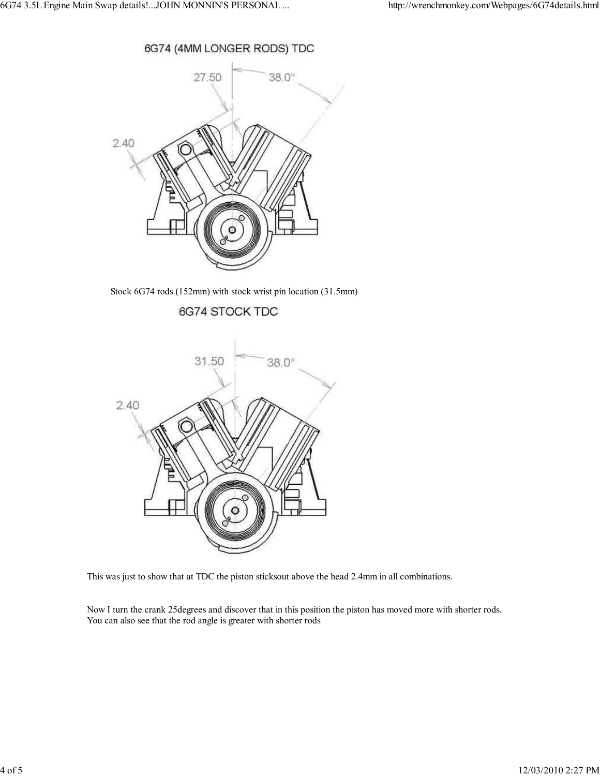



3. Stock 6G74 rods (152mm) with stock wrist pin location (31.5mm)

6G74 STOCK TDC



This was just to show that at TDC the piston sticksout above the head 2.4mm in all combinations.

Now I turn the crank 25degrees and discover that in this position the piston has moved more with shorter rods. You can also see that the rod angle is greater with shorter rods